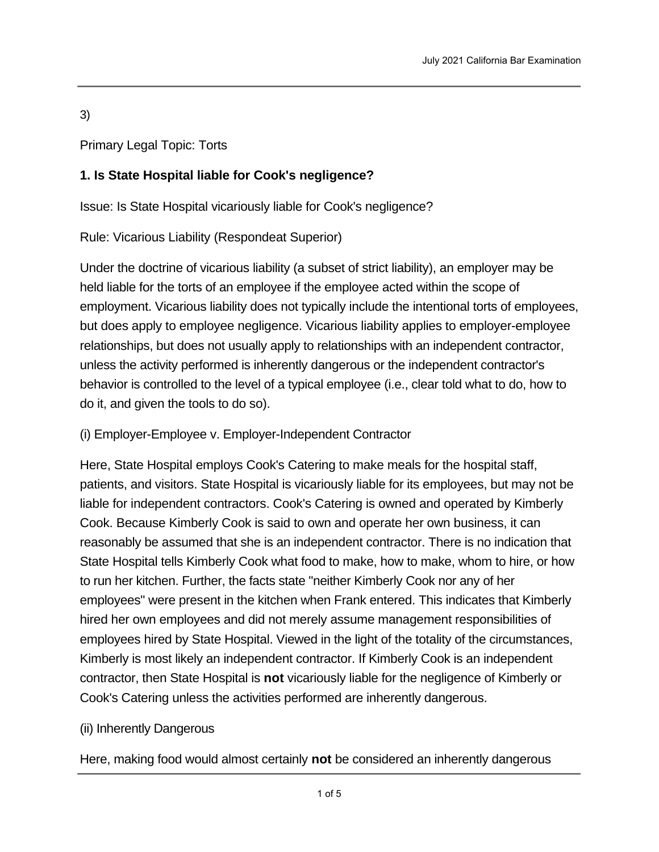3)

Primary Legal Topic: Torts

# **1. Is State Hospital liable for Cook's negligence?**

Issue: Is State Hospital vicariously liable for Cook's negligence?

Rule: Vicarious Liability (Respondeat Superior)

Under the doctrine of vicarious liability (a subset of strict liability), an employer may be held liable for the torts of an employee if the employee acted within the scope of employment. Vicarious liability does not typically include the intentional torts of employees, but does apply to employee negligence. Vicarious liability applies to employer-employee relationships, but does not usually apply to relationships with an independent contractor, unless the activity performed is inherently dangerous or the independent contractor's behavior is controlled to the level of a typical employee (i.e., clear told what to do, how to do it, and given the tools to do so).

# (i) Employer-Employee v. Employer-Independent Contractor

Here, State Hospital employs Cook's Catering to make meals for the hospital staff, patients, and visitors. State Hospital is vicariously liable for its employees, but may not be liable for independent contractors. Cook's Catering is owned and operated by Kimberly Cook. Because Kimberly Cook is said to own and operate her own business, it can reasonably be assumed that she is an independent contractor. There is no indication that State Hospital tells Kimberly Cook what food to make, how to make, whom to hire, or how to run her kitchen. Further, the facts state "neither Kimberly Cook nor any of her employees" were present in the kitchen when Frank entered. This indicates that Kimberly hired her own employees and did not merely assume management responsibilities of employees hired by State Hospital. Viewed in the light of the totality of the circumstances, Kimberly is most likely an independent contractor. If Kimberly Cook is an independent contractor, then State Hospital is **not** vicariously liable for the negligence of Kimberly or Cook's Catering unless the activities performed are inherently dangerous.

# (ii) Inherently Dangerous

Here, making food would almost certainly **not** be considered an inherently dangerous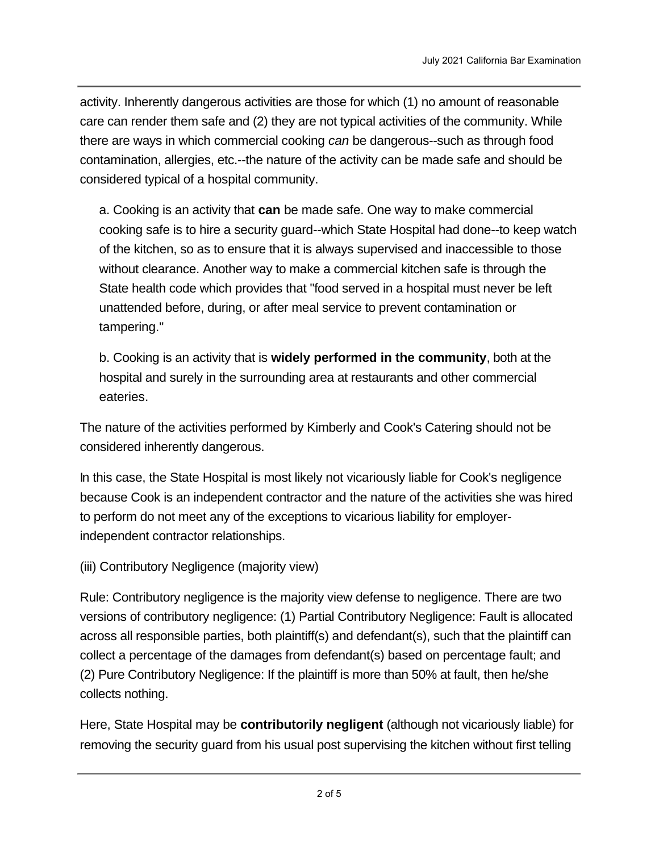activity. Inherently dangerous activities are those for which (1) no amount of reasonable care can render them safe and (2) they are not typical activities of the community. While there are ways in which commercial cooking *can* be dangerous--such as through food contamination, allergies, etc.--the nature of the activity can be made safe and should be considered typical of a hospital community.

ost certainly **not** be considered an inherently dangerous

a. Cooking is an activity that **can** be made safe. One way to make commercial cooking safe is to hire a security guard--which State Hospital had done--to keep watch of the kitchen, so as to ensure that it is always supervised and inaccessible to those without clearance. Another way to make a commercial kitchen safe is through the State health code which provides that "food served in a hospital must never be left unattended before, during, or after meal service to prevent contamination or tampering."

b. Cooking is an activity that is **widely performed in the community**, both at the hospital and surely in the surrounding area at restaurants and other commercial eateries.

The nature of the activities performed by Kimberly and Cook's Catering should not be considered inherently dangerous.

In this case, the State Hospital is most likely not vicariously liable for Cook's negligence because Cook is an independent contractor and the nature of the activities she was hired to perform do not meet any of the exceptions to vicarious liability for employerindependent contractor relationships.

(iii) Contributory Negligence (majority view)

Rule: Contributory negligence is the majority view defense to negligence. There are two versions of contributory negligence: (1) Partial Contributory Negligence: Fault is allocated across all responsible parties, both plaintiff(s) and defendant(s), such that the plaintiff can collect a percentage of the damages from defendant(s) based on percentage fault; and (2) Pure Contributory Negligence: If the plaintiff is more than 50% at fault, then he/she collects nothing.

Here, State Hospital may be **contributorily negligent** (although not vicariously liable) for removing the security guard from his usual post supervising the kitchen without first telling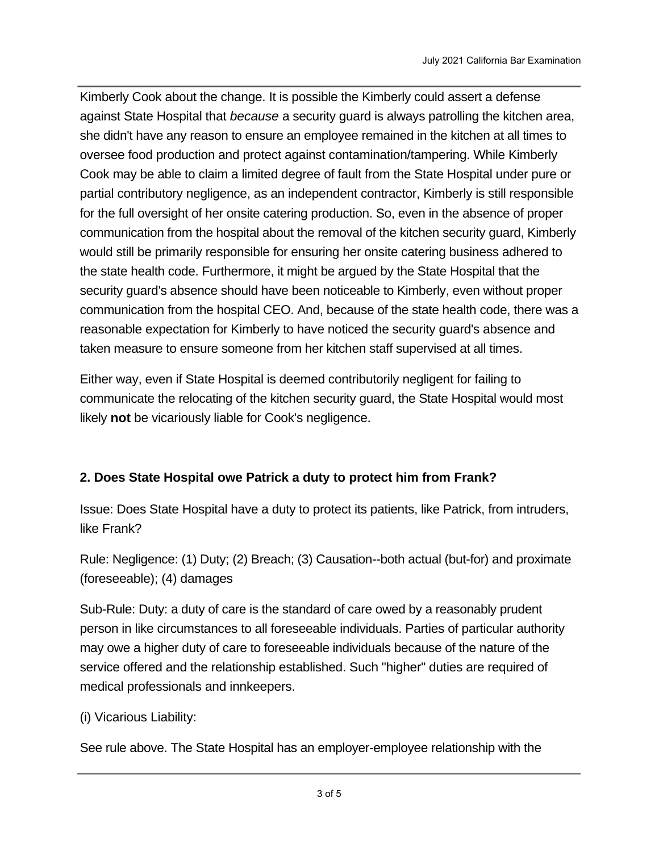Kimberly Cook about the change. It is possible the Kimberly could assert a defense against State Hospital that *because* a security guard is always patrolling the kitchen area, she didn't have any reason to ensure an employee remained in the kitchen at all times to oversee food production and protect against contamination/tampering. While Kimberly Cook may be able to claim a limited degree of fault from the State Hospital under pure or partial contributory negligence, as an independent contractor, Kimberly is still responsible for the full oversight of her onsite catering production. So, even in the absence of proper communication from the hospital about the removal of the kitchen security guard, Kimberly would still be primarily responsible for ensuring her onsite catering business adhered to the state health code. Furthermore, it might be argued by the State Hospital that the security guard's absence should have been noticeable to Kimberly, even without proper communication from the hospital CEO. And, because of the state health code, there was a reasonable expectation for Kimberly to have noticed the security guard's absence and taken measure to ensure someone from her kitchen staff supervised at all times.

Either way, even if State Hospital is deemed contributorily negligent for failing to communicate the relocating of the kitchen security guard, the State Hospital would most likely **not** be vicariously liable for Cook's negligence.

# **2. Does State Hospital owe Patrick a duty to protect him from Frank?**

Issue: Does State Hospital have a duty to protect its patients, like Patrick, from intruders, like Frank?

Rule: Negligence: (1) Duty; (2) Breach; (3) Causation--both actual (but-for) and proximate (foreseeable); (4) damages

Sub-Rule: Duty: a duty of care is the standard of care owed by a reasonably prudent person in like circumstances to all foreseeable individuals. Parties of particular authority may owe a higher duty of care to foreseeable individuals because of the nature of the service offered and the relationship established. Such "higher" duties are required of medical professionals and innkeepers.

# (i) Vicarious Liability:

See rule above. The State Hospital has an employer-employee relationship with the

hospital CEO, Davis. Therefore, State Hospital is vicariously liable for Davis' negligent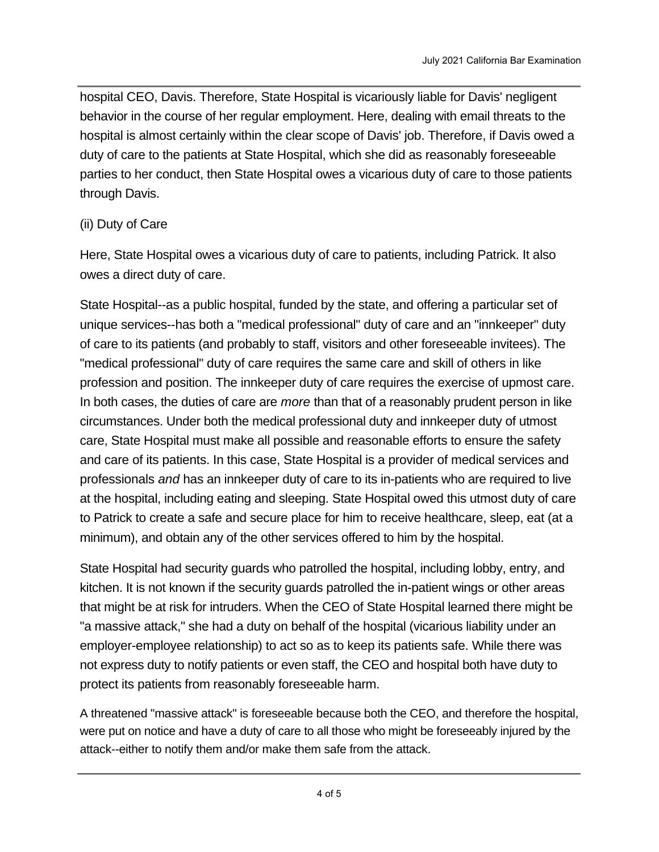hospital CEO, Davis. Therefore, State Hospital is vicariously liable for Davis' negligent behavior in the course of her regular employment. Here, dealing with email threats to the hospital is almost certainly within the clear scope of Davis' job. Therefore, if Davis owed a duty of care to the patients at State Hospital, which she did as reasonably foreseeable parties to her conduct, then State Hospital owes a vicarious duty of care to those patients through Davis.

# (ii) Duty of Care

Here, State Hospital owes a vicarious duty of care to patients, including Patrick. It also owes a direct duty of care.

State Hospital--as a public hospital, funded by the state, and offering a particular set of unique services--has both a "medical professional" duty of care and an "innkeeper" duty of care to its patients (and probably to staff, visitors and other foreseeable invitees). The "medical professional" duty of care requires the same care and skill of others in like profession and position. The innkeeper duty of care requires the exercise of upmost care. In both cases, the duties of care are *more* than that of a reasonably prudent person in like circumstances. Under both the medical professional duty and innkeeper duty of utmost care, State Hospital must make all possible and reasonable efforts to ensure the safety and care of its patients. In this case, State Hospital is a provider of medical services and professionals *and* has an innkeeper duty of care to its in-patients who are required to live at the hospital, including eating and sleeping. State Hospital owed this utmost duty of care to Patrick to create a safe and secure place for him to receive healthcare, sleep, eat (at a minimum), and obtain any of the other services offered to him by the hospital.

State Hospital had security guards who patrolled the hospital, including lobby, entry, and kitchen. It is not known if the security guards patrolled the in-patient wings or other areas that might be at risk for intruders. When the CEO of State Hospital learned there might be "a massive attack," she had a duty on behalf of the hospital (vicarious liability under an employer-employee relationship) to act so as to keep its patients safe. While there was not express duty to notify patients or even staff, the CEO and hospital both have duty to protect its patients from reasonably foreseeable harm.

A threatened "massive attack" is foreseeable because both the CEO, and therefore the hospital, were put on notice and have a duty of care to all those who might be foreseeably injured by the attack--either to notify them and/or make them safe from the attack.